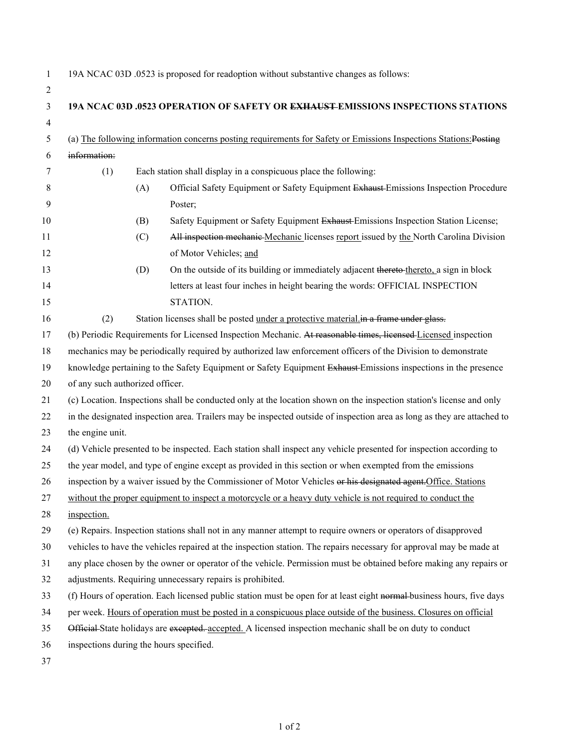|  |  | 19A NCAC 03D .0523 is proposed for readoption without substantive changes as follows: |
|--|--|---------------------------------------------------------------------------------------|
|  |  |                                                                                       |

| $\overline{2}$ |                                                                                                                       |                                                                                                                   |                                                                                                                         |  |  |  |
|----------------|-----------------------------------------------------------------------------------------------------------------------|-------------------------------------------------------------------------------------------------------------------|-------------------------------------------------------------------------------------------------------------------------|--|--|--|
| 3              |                                                                                                                       |                                                                                                                   | 19A NCAC 03D .0523 OPERATION OF SAFETY OR EXHAUST EMISSIONS INSPECTIONS STATIONS                                        |  |  |  |
| $\overline{4}$ |                                                                                                                       |                                                                                                                   |                                                                                                                         |  |  |  |
| 5              |                                                                                                                       | (a) The following information concerns posting requirements for Safety or Emissions Inspections Stations: Posting |                                                                                                                         |  |  |  |
| 6              | information:                                                                                                          |                                                                                                                   |                                                                                                                         |  |  |  |
| 7              | (1)                                                                                                                   | Each station shall display in a conspicuous place the following:                                                  |                                                                                                                         |  |  |  |
| 8              |                                                                                                                       | (A)                                                                                                               | Official Safety Equipment or Safety Equipment Exhaust-Emissions Inspection Procedure                                    |  |  |  |
| 9              |                                                                                                                       |                                                                                                                   | Poster;                                                                                                                 |  |  |  |
| 10             |                                                                                                                       | (B)                                                                                                               | Safety Equipment or Safety Equipment Exhaust Emissions Inspection Station License;                                      |  |  |  |
| 11             |                                                                                                                       | (C)                                                                                                               | All inspection mechanic Mechanic licenses report issued by the North Carolina Division                                  |  |  |  |
| 12             |                                                                                                                       |                                                                                                                   | of Motor Vehicles; and                                                                                                  |  |  |  |
| 13             |                                                                                                                       | (D)                                                                                                               | On the outside of its building or immediately adjacent thereto-thereto, a sign in block                                 |  |  |  |
| 14             |                                                                                                                       |                                                                                                                   | letters at least four inches in height bearing the words: OFFICIAL INSPECTION                                           |  |  |  |
| 15             |                                                                                                                       |                                                                                                                   | STATION.                                                                                                                |  |  |  |
| 16             | (2)                                                                                                                   |                                                                                                                   | Station licenses shall be posted under a protective material in a frame under glass.                                    |  |  |  |
| 17             | (b) Periodic Requirements for Licensed Inspection Mechanic. At reasonable times, licensed Licensed inspection         |                                                                                                                   |                                                                                                                         |  |  |  |
| 18             |                                                                                                                       | mechanics may be periodically required by authorized law enforcement officers of the Division to demonstrate      |                                                                                                                         |  |  |  |
| 19             |                                                                                                                       |                                                                                                                   | knowledge pertaining to the Safety Equipment or Safety Equipment Exhaust Emissions inspections in the presence          |  |  |  |
| 20             | of any such authorized officer.                                                                                       |                                                                                                                   |                                                                                                                         |  |  |  |
| 21             | (c) Location. Inspections shall be conducted only at the location shown on the inspection station's license and only  |                                                                                                                   |                                                                                                                         |  |  |  |
| 22             |                                                                                                                       |                                                                                                                   | in the designated inspection area. Trailers may be inspected outside of inspection area as long as they are attached to |  |  |  |
| 23             |                                                                                                                       | the engine unit.                                                                                                  |                                                                                                                         |  |  |  |
| 24             | (d) Vehicle presented to be inspected. Each station shall inspect any vehicle presented for inspection according to   |                                                                                                                   |                                                                                                                         |  |  |  |
| 25             | the year model, and type of engine except as provided in this section or when exempted from the emissions             |                                                                                                                   |                                                                                                                         |  |  |  |
| 26             | inspection by a waiver issued by the Commissioner of Motor Vehicles or his designated agent. Office. Stations         |                                                                                                                   |                                                                                                                         |  |  |  |
| 27             | without the proper equipment to inspect a motorcycle or a heavy duty vehicle is not required to conduct the           |                                                                                                                   |                                                                                                                         |  |  |  |
| 28             | inspection.                                                                                                           |                                                                                                                   |                                                                                                                         |  |  |  |
| 29             | (e) Repairs. Inspection stations shall not in any manner attempt to require owners or operators of disapproved        |                                                                                                                   |                                                                                                                         |  |  |  |
| 30             | vehicles to have the vehicles repaired at the inspection station. The repairs necessary for approval may be made at   |                                                                                                                   |                                                                                                                         |  |  |  |
| 31             | any place chosen by the owner or operator of the vehicle. Permission must be obtained before making any repairs or    |                                                                                                                   |                                                                                                                         |  |  |  |
| 32             | adjustments. Requiring unnecessary repairs is prohibited.                                                             |                                                                                                                   |                                                                                                                         |  |  |  |
| 33             | (f) Hours of operation. Each licensed public station must be open for at least eight normal-business hours, five days |                                                                                                                   |                                                                                                                         |  |  |  |
| 34             | per week. Hours of operation must be posted in a conspicuous place outside of the business. Closures on official      |                                                                                                                   |                                                                                                                         |  |  |  |
| 35             | Official State holidays are excepted. accepted. A licensed inspection mechanic shall be on duty to conduct            |                                                                                                                   |                                                                                                                         |  |  |  |
| 36             | inspections during the hours specified.                                                                               |                                                                                                                   |                                                                                                                         |  |  |  |
| 37             |                                                                                                                       |                                                                                                                   |                                                                                                                         |  |  |  |